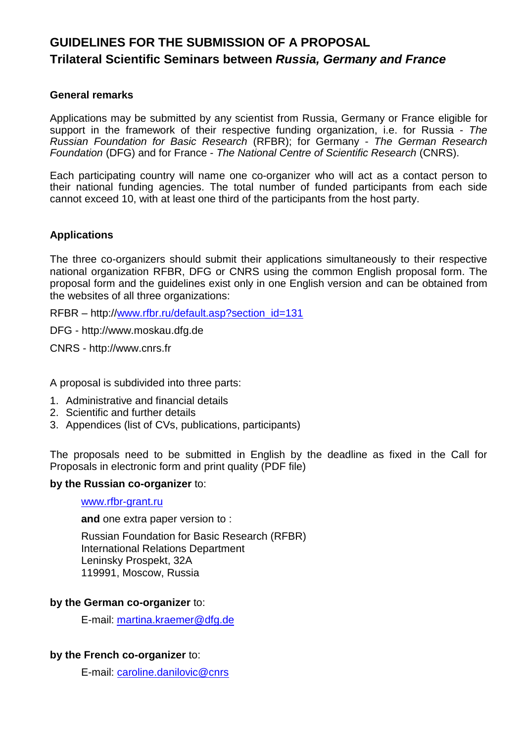# **GUIDELINES FOR THE SUBMISSION OF A PROPOSAL Trilateral Scientific Seminars between** *Russia, Germany and France*

#### **General remarks**

Applications may be submitted by any scientist from Russia, Germany or France eligible for support in the framework of their respective funding organization, i.e. for Russia - *The Russian Foundation for Basic Research* (RFBR); for Germany - *The German Research Foundation* (DFG) and for France - *The National Centre of Scientific Research* (CNRS).

Each participating country will name one co-organizer who will act as a contact person to their national funding agencies. The total number of funded participants from each side cannot exceed 10, with at least one third of the participants from the host party.

#### **Applications**

The three co-organizers should submit their applications simultaneously to their respective national organization RFBR, DFG or CNRS using the common English proposal form. The proposal form and the guidelines exist only in one English version and can be obtained from the websites of all three organizations:

RFBR – http:/[/www.rfbr.ru/default.asp?section\\_id=131](http://www.rfbr.ru/default.asp?section_id=131)

DFG - http://www.moskau.dfg.de

CNRS - http://www.cnrs.fr

A proposal is subdivided into three parts:

- 1. Administrative and financial details
- 2. Scientific and further details
- 3. Appendices (list of CVs, publications, participants)

The proposals need to be submitted in English by the deadline as fixed in the Call for Proposals in electronic form and print quality (PDF file)

#### **by the Russian co-organizer** to:

#### [www.rfbr-grant.ru](http://www.rfbr-grant.ru/)

**and** one extra paper version to :

Russian Foundation for Basic Research (RFBR) International Relations Department Leninsky Prospekt, 32A 119991, Moscow, Russia

#### **by the German co-organizer** to:

E-mail: [martina.kraemer@dfg.de](mailto:martina.kraemer@dfg.de)

#### **by the French co-organizer** to:

E-mail: [caroline.danilovic@cnrs](mailto:caroline.danilovic@cnrs)